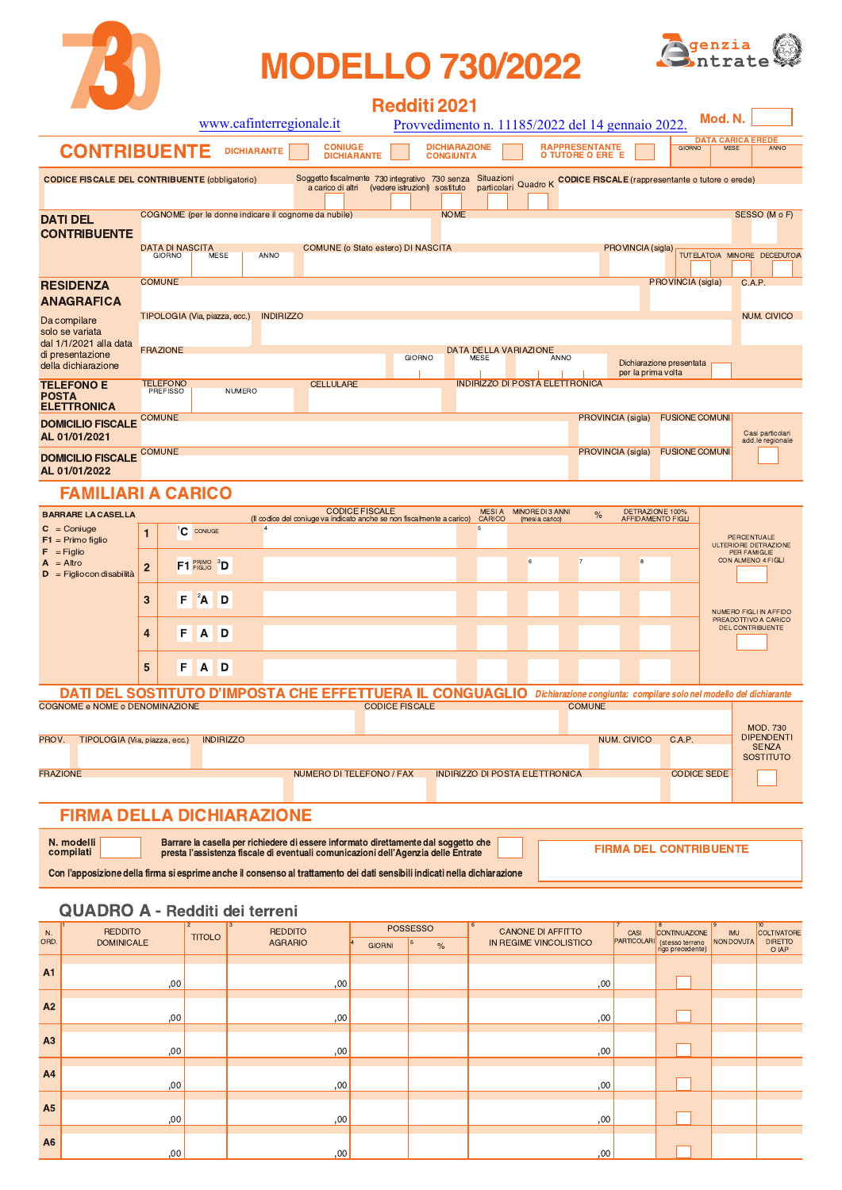

# **MODELLO 730/2022**



|                                                           |                 |                                         |                         |                               |                    |                  |                                                      |                                                                                                                                                                                             | <b>Redditi 2021</b>   |                                          |                                       |                                     |                                           |      |                                                  |                                      |                    |                                                                          |
|-----------------------------------------------------------|-----------------|-----------------------------------------|-------------------------|-------------------------------|--------------------|------------------|------------------------------------------------------|---------------------------------------------------------------------------------------------------------------------------------------------------------------------------------------------|-----------------------|------------------------------------------|---------------------------------------|-------------------------------------|-------------------------------------------|------|--------------------------------------------------|--------------------------------------|--------------------|--------------------------------------------------------------------------|
|                                                           |                 |                                         |                         |                               |                    |                  | www.cafinterregionale.it                             |                                                                                                                                                                                             |                       |                                          |                                       |                                     |                                           |      | Provvedimento n. 11185/2022 del 14 gennaio 2022. |                                      | Mod. N.            |                                                                          |
| <b>CONTRIBUENTE</b>                                       |                 |                                         |                         |                               | <b>DICHIARANTE</b> |                  |                                                      | <b>CONIUGE</b><br><b>DICHIARANTE</b>                                                                                                                                                        |                       | <b>DICHIARAZIONE</b><br><b>CONGIUNTA</b> |                                       |                                     | <b>RAPPRESENTANTE</b><br>O TUTORE O ERE E |      |                                                  | <b>GIORNO</b>                        | <b>MESE</b>        | <b>DATA CARICA EREDE</b><br>ANNO                                         |
| <b>CODICE FISCALE DEL CONTRIBUENTE (obbligatorio)</b>     |                 |                                         |                         |                               |                    |                  |                                                      | Soggetto fiscalmente 730 integrativo 730 senza Situazioni Quadro K CODICE FISCALE (rappresentante o tutore o erede)<br>a carico di altri (vedere istruzioni) sostituto particolari Quadro K |                       |                                          |                                       |                                     |                                           |      |                                                  |                                      |                    |                                                                          |
| DATI DEL                                                  |                 |                                         |                         |                               |                    |                  | COGNOME (per le donne indicare il cognome da nubile) |                                                                                                                                                                                             |                       | <b>NOME</b>                              |                                       |                                     |                                           |      |                                                  |                                      |                    | SESSO (M o F)                                                            |
| <b>CONTRIBUENTE</b>                                       |                 | <b>DATA DI NASCITA</b><br><b>GIORNO</b> |                         | MESE                          |                    | ANNO             |                                                      | COMUNE (o Stato estero) DI NASCITA                                                                                                                                                          |                       |                                          |                                       |                                     |                                           |      | PROVINCIA (sigla)                                |                                      |                    | TUTELATO/A MINORE DECEDUTO/A                                             |
| <b>RESIDENZA</b>                                          | <b>COMUNE</b>   |                                         |                         |                               |                    |                  |                                                      |                                                                                                                                                                                             |                       |                                          |                                       |                                     |                                           |      |                                                  | PROVINCIA (sigla)                    |                    | C.A.P.                                                                   |
| <b>ANAGRAFICA</b>                                         |                 |                                         |                         |                               |                    |                  |                                                      |                                                                                                                                                                                             |                       |                                          |                                       |                                     |                                           |      |                                                  |                                      |                    |                                                                          |
| Da compilare<br>solo se variata<br>dal 1/1/2021 alla data | <b>FRAZIONE</b> |                                         |                         | TIPOLOGIA (Via, piazza, ecc.) |                    | <b>INDIRIZZO</b> |                                                      |                                                                                                                                                                                             |                       |                                          | <b>DATA DELLA VARIAZIONE</b>          |                                     |                                           |      |                                                  |                                      |                    | <b>NUM. CIVICO</b>                                                       |
| di presentazione<br>della dichiarazione                   |                 |                                         |                         |                               |                    |                  |                                                      |                                                                                                                                                                                             | <b>GIORNO</b>         |                                          | MESE                                  |                                     | ANNO                                      |      |                                                  | Dichiarazione presentata             |                    |                                                                          |
|                                                           |                 | <b>TELEFONO</b>                         |                         |                               |                    |                  | <b>CELLULARE</b>                                     |                                                                                                                                                                                             |                       |                                          | <b>INDIRIZZO DI POSTA ELETTRONICA</b> |                                     |                                           |      | per la prima volta                               |                                      |                    |                                                                          |
| <b>TELEFONO E</b><br>POSTA<br><b>ELETTRONICA</b>          |                 | <b>PREFISSO</b>                         |                         |                               | NUMERO             |                  |                                                      |                                                                                                                                                                                             |                       |                                          |                                       |                                     |                                           |      |                                                  |                                      |                    |                                                                          |
| <b>DOMICILIO FISCALE</b><br>AL 01/01/2021                 | <b>COMUNE</b>   |                                         |                         |                               |                    |                  |                                                      |                                                                                                                                                                                             |                       |                                          |                                       |                                     |                                           |      | PROVINCIA (sigla)                                | <b>FUSIONE COMUNI</b>                |                    | Casi particolari<br>add.le regionale                                     |
| <b>DOMICILIO FISCALE</b><br>AL 01/01/2022                 | <b>COMUNE</b>   |                                         |                         |                               |                    |                  |                                                      |                                                                                                                                                                                             |                       |                                          |                                       |                                     |                                           |      | PROVINCIA (sigla)                                | <b>FUSIONE COMUNI</b>                |                    |                                                                          |
| <b>FAMILIARI A CARICO</b>                                 |                 |                                         |                         |                               |                    |                  |                                                      |                                                                                                                                                                                             |                       |                                          |                                       |                                     |                                           |      |                                                  |                                      |                    |                                                                          |
| <b>BARRARE LA CASELLA</b>                                 |                 |                                         |                         |                               |                    |                  |                                                      | <b>CODICE FISCALE</b><br>(Il codice del coniuge va indicato anche se non fiscalmente a carico)                                                                                              |                       |                                          | MESI A<br>CARICO                      | MINORE DI 3 ANNI<br>(mesi a carico) |                                           | $\%$ |                                                  | DETRAZIONE 100%<br>AFFIDAMENTO FIGLI |                    |                                                                          |
| $C = Coniuge$<br>$F1$ = Primo figlio<br>$F =$ Figlio      | 1               | 'C                                      | CONIUGE                 |                               | $\overline{4}$     |                  |                                                      |                                                                                                                                                                                             |                       |                                          | 5                                     |                                     |                                           |      |                                                  |                                      |                    | PERCENTUALE<br>ULTERIORE DETRAZIONE                                      |
| $A = Altro$<br>$\mathsf{D}$ = Figlio con disabilità       | $\overline{2}$  |                                         | F1 FRIMO <sup>3</sup> D |                               |                    |                  |                                                      |                                                                                                                                                                                             |                       |                                          |                                       | 6                                   | 7                                         |      | 8                                                |                                      |                    | PER FAMIGLIE<br>CON ALMENO 4 FIGLI                                       |
|                                                           | 3               | F                                       | $2^2$ A                 | D                             |                    |                  |                                                      |                                                                                                                                                                                             |                       |                                          |                                       |                                     |                                           |      |                                                  |                                      |                    | NUMERO FIGLI IN AFFIDO                                                   |
|                                                           | 4               | F                                       | A                       | D                             |                    |                  |                                                      |                                                                                                                                                                                             |                       |                                          |                                       |                                     |                                           |      |                                                  |                                      |                    | PREADOTTIVO A CARICO<br><b>DEL CONTRIBUENTE</b>                          |
|                                                           | 5               | F                                       | Α                       | D                             |                    |                  |                                                      |                                                                                                                                                                                             |                       |                                          |                                       |                                     |                                           |      |                                                  |                                      |                    |                                                                          |
| DATI DEL SOSTITUTO D'IMPOSTA CHE EFFETTUERA IL CONGUAGLIO |                 |                                         |                         |                               |                    |                  |                                                      |                                                                                                                                                                                             |                       |                                          |                                       |                                     |                                           |      |                                                  |                                      |                    | Dichiarazione congiunta: compilare solo nel modello del dichiarante      |
| COGNOME e NOME o DENOMINAZIONE                            |                 |                                         |                         |                               |                    |                  |                                                      |                                                                                                                                                                                             | <b>CODICE FISCALE</b> |                                          |                                       |                                     | <b>COMUNE</b>                             |      |                                                  |                                      |                    |                                                                          |
| PROV.<br>TIPOLOGIA (Via, piazza, ecc.)                    |                 |                                         |                         | <b>INDIRIZZO</b>              |                    |                  |                                                      |                                                                                                                                                                                             |                       |                                          |                                       |                                     |                                           |      | <b>NUM. CIVICO</b>                               | C.A.P.                               |                    | <b>MOD. 730</b><br><b>DIPENDENTI</b><br><b>SENZA</b><br><b>SOSTITUTO</b> |
| <b>FRAZIONE</b>                                           |                 |                                         |                         |                               |                    |                  |                                                      | NUMERO DI TELEFONO / FAX                                                                                                                                                                    |                       |                                          | <b>INDIRIZZO DI POSTA ELETTRONICA</b> |                                     |                                           |      |                                                  |                                      | <b>CODICE SEDE</b> |                                                                          |
| <b>FIRMA DELLA DICHIARAZIONE</b>                          |                 |                                         |                         |                               |                    |                  |                                                      |                                                                                                                                                                                             |                       |                                          |                                       |                                     |                                           |      |                                                  |                                      |                    |                                                                          |
|                                                           |                 |                                         |                         |                               |                    |                  |                                                      |                                                                                                                                                                                             |                       |                                          |                                       |                                     |                                           |      |                                                  |                                      |                    |                                                                          |

Con l'apposizione della firma si esprime anche il consenso al trattamento dei dati sensibili indicati nella dichiarazione

### **QUADRO A - Redditi dei terreni**

| N.             | <b>REDDITO</b>    | $\overline{2}$<br><b>TITOLO</b> | $\overline{13}$<br><b>REDDITO</b> |                                  | POSSESSO | 6<br><b>CANONE DI AFFITTO</b> | CASI        | 8<br>CONTINUAZIONE                  | $\overline{19}$<br>IMU | $ 10\rangle$<br>COLTIVATORE |
|----------------|-------------------|---------------------------------|-----------------------------------|----------------------------------|----------|-------------------------------|-------------|-------------------------------------|------------------------|-----------------------------|
| ORD.           | <b>DOMINICALE</b> |                                 | <b>AGRARIO</b>                    | $\vert 4 \vert$<br><b>GIORNI</b> | $\%$     | IN REGIME VINCOLISTICO        | PARTICOLARI | (stesso terreno<br>rigo precedente) | NON DOVUTA             | <b>DIRETTO</b><br>O IAP     |
|                |                   |                                 |                                   |                                  |          |                               |             |                                     |                        |                             |
| A1             | ,00               |                                 | ,00                               |                                  |          | ,00                           |             |                                     |                        |                             |
|                |                   |                                 |                                   |                                  |          |                               |             |                                     |                        |                             |
| A2             | ,00               |                                 | ,00                               |                                  |          | ,00                           |             |                                     |                        |                             |
| A <sub>3</sub> |                   |                                 |                                   |                                  |          |                               |             |                                     |                        |                             |
|                | ,00               |                                 | ,00                               |                                  |          | ,00                           |             |                                     |                        |                             |
| A4             |                   |                                 |                                   |                                  |          |                               |             |                                     |                        |                             |
|                | ,00               |                                 | ,00                               |                                  |          | ,00                           |             |                                     |                        |                             |
|                |                   |                                 |                                   |                                  |          |                               |             |                                     |                        |                             |
| A <sub>5</sub> | ,00               |                                 | ,00                               |                                  |          | ,00                           |             |                                     |                        |                             |
|                |                   |                                 |                                   |                                  |          |                               |             |                                     |                        |                             |
| A <sub>6</sub> | ,00               |                                 | ,00                               |                                  |          | ,00                           |             |                                     |                        |                             |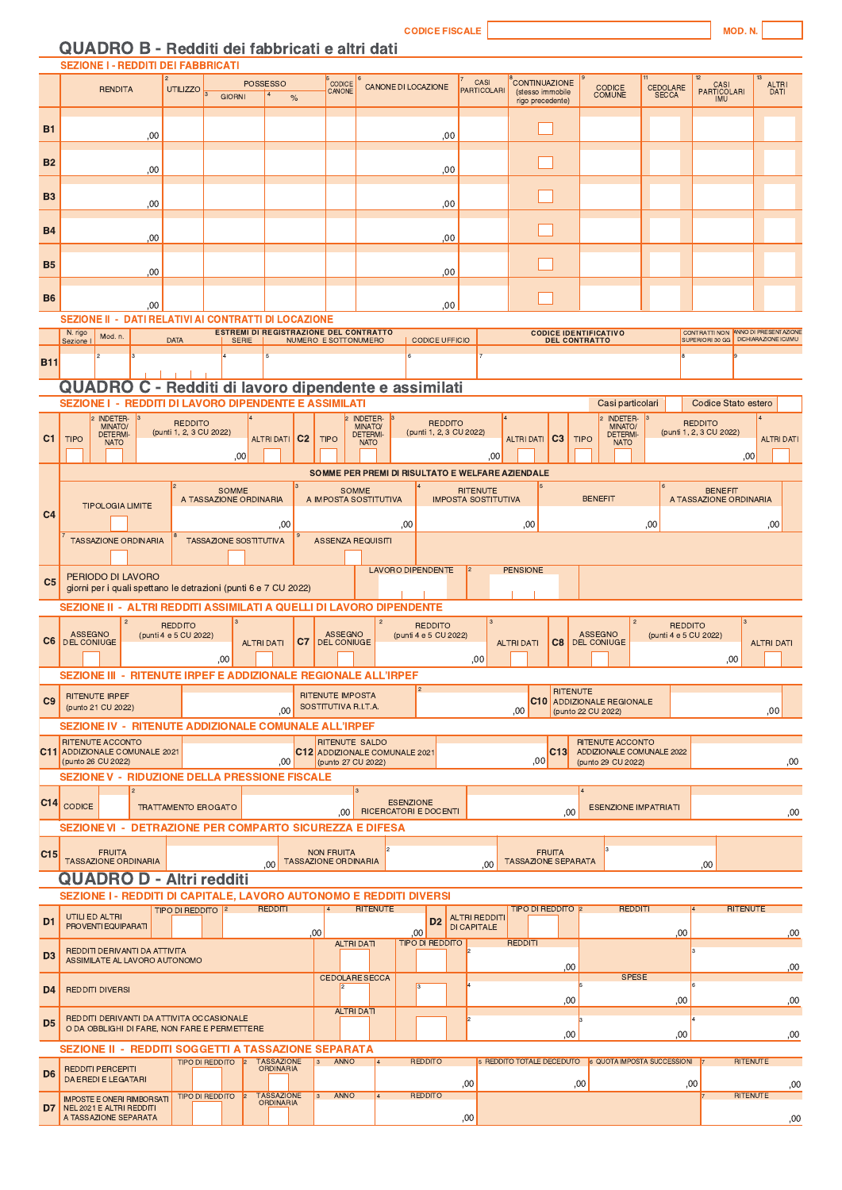**CODICE FIS** 

### QUADRO B - Redditi dei fabbricati e altri dati

|                | <b>SEZIONE I - REDDITI DEI FABBRICATI</b>                                                                                       |                                                                                                                                                                                                                                                                                    |                                         |                         |                |                                                 |                                                              |                  |                                           |     |                                               |                                      |                |                                                                             |                             |                                           |                                          |                   |            |
|----------------|---------------------------------------------------------------------------------------------------------------------------------|------------------------------------------------------------------------------------------------------------------------------------------------------------------------------------------------------------------------------------------------------------------------------------|-----------------------------------------|-------------------------|----------------|-------------------------------------------------|--------------------------------------------------------------|------------------|-------------------------------------------|-----|-----------------------------------------------|--------------------------------------|----------------|-----------------------------------------------------------------------------|-----------------------------|-------------------------------------------|------------------------------------------|-------------------|------------|
|                | <b>RENDITA</b>                                                                                                                  | <b>UTILIZZO</b>                                                                                                                                                                                                                                                                    |                                         | <b>POSSESSO</b>         |                | CODICE<br>CANONE                                |                                                              |                  | <b>CANONE DI LOCAZIONE</b>                |     | CASI<br><b>PARTICOLARI</b>                    | <b>CONTINUAZIONE</b>                 |                | <b>CODICE</b>                                                               |                             | 12                                        |                                          | ALTRI<br>DATI     |            |
|                |                                                                                                                                 |                                                                                                                                                                                                                                                                                    | <b>GIORNI</b>                           | $\frac{6}{6}$           |                |                                                 |                                                              |                  |                                           |     |                                               | (stesso immobile<br>rigo precedente) |                | <b>COMUNE</b>                                                               | CEDOLARE<br>SECCA           |                                           | CASI<br>PARTICOLARI<br>IMU               |                   |            |
| <b>B1</b>      | ,00                                                                                                                             |                                                                                                                                                                                                                                                                                    |                                         |                         |                |                                                 |                                                              |                  |                                           | ,00 |                                               |                                      |                |                                                                             |                             |                                           |                                          |                   |            |
| B <sub>2</sub> | ,00                                                                                                                             |                                                                                                                                                                                                                                                                                    |                                         |                         |                |                                                 |                                                              |                  |                                           | ,00 |                                               |                                      |                |                                                                             |                             |                                           |                                          |                   |            |
| B <sub>3</sub> | ,00                                                                                                                             |                                                                                                                                                                                                                                                                                    |                                         |                         |                |                                                 |                                                              |                  |                                           |     |                                               |                                      |                |                                                                             |                             |                                           |                                          |                   |            |
| <b>B4</b>      |                                                                                                                                 |                                                                                                                                                                                                                                                                                    |                                         |                         |                |                                                 |                                                              |                  |                                           | ,00 |                                               |                                      |                |                                                                             |                             |                                           |                                          |                   |            |
|                | ,00                                                                                                                             |                                                                                                                                                                                                                                                                                    |                                         |                         |                |                                                 |                                                              |                  |                                           | ,00 |                                               |                                      |                |                                                                             |                             |                                           |                                          |                   |            |
| <b>B5</b>      | ,00                                                                                                                             |                                                                                                                                                                                                                                                                                    |                                         |                         |                |                                                 |                                                              |                  |                                           | ,00 |                                               |                                      |                |                                                                             |                             |                                           |                                          |                   |            |
| B <sub>6</sub> | ,00<br>SEZIONE II - DATI RELATIVI AI CONTRATTI DI LOCAZIONE                                                                     |                                                                                                                                                                                                                                                                                    |                                         |                         |                |                                                 |                                                              |                  |                                           | ,00 |                                               |                                      |                |                                                                             |                             |                                           |                                          |                   |            |
|                | N. rigo                                                                                                                         | <b>ESTREMI DI REGISTRAZIONE DEL CONTRATTO</b><br>CONTRATTI NON ANNO DI PRESENTAZIONE<br><b>CODICE IDENTIFICATIVO</b><br>Mod. n.<br><b>DATA</b><br><b>SERIE</b><br>NUMERO E SOTTONUMERO<br><b>CODICE UFFICIO</b><br><b>DEL CONTRATTO</b><br>SUPERIORI 30 GG   DICHIARAZIONE ICI/IMU |                                         |                         |                |                                                 |                                                              |                  |                                           |     |                                               |                                      |                |                                                                             |                             |                                           |                                          |                   |            |
|                | Sezione                                                                                                                         |                                                                                                                                                                                                                                                                                    |                                         | 5                       |                |                                                 |                                                              |                  |                                           |     |                                               |                                      |                |                                                                             |                             |                                           |                                          |                   |            |
| <b>B11</b>     |                                                                                                                                 |                                                                                                                                                                                                                                                                                    |                                         |                         |                |                                                 |                                                              |                  |                                           |     |                                               |                                      |                |                                                                             |                             |                                           |                                          |                   |            |
|                | QUADRO C - Redditi di lavoro dipendente e assimilati                                                                            |                                                                                                                                                                                                                                                                                    |                                         |                         |                |                                                 |                                                              |                  |                                           |     |                                               |                                      |                |                                                                             |                             |                                           |                                          |                   |            |
|                | <b>SEZIONE I - REDDITI DI LAVORO DIPENDENTE E ASSIMILATI</b>                                                                    |                                                                                                                                                                                                                                                                                    |                                         |                         |                |                                                 |                                                              |                  |                                           |     |                                               |                                      |                | Casi particolari                                                            |                             |                                           | Codice Stato estero                      |                   |            |
| C <sub>1</sub> | <b>INDETER-</b><br>MINATO/<br><b>DETERMI</b><br><b>TIPO</b><br><b>NATO</b>                                                      | <b>REDDITO</b><br>(punti 1, 2, 3 CU 2022)                                                                                                                                                                                                                                          | ,00                                     | <b>ALTRI DATI</b>       | C <sub>2</sub> | <b>TIPO</b>                                     | <b>INDETER-</b><br>MINATO/<br><b>DETERMI-</b><br><b>NATO</b> |                  | <b>REDDITO</b><br>(punti 1, 2, 3 CU 2022) |     | ,00                                           | <b>ALTRI DATI</b>                    | C <sub>3</sub> | <b>INDETER-</b><br>MINATO/<br><b>DETERMI-</b><br><b>TIPO</b><br><b>NATO</b> |                             | <b>REDDITO</b><br>(punti 1, 2, 3 CU 2022) | ,00                                      | <b>ALTRI DATI</b> |            |
|                |                                                                                                                                 | SOMME PER PREMI DI RISULTATO E WELFARE AZIENDALE                                                                                                                                                                                                                                   |                                         |                         |                |                                                 |                                                              |                  |                                           |     |                                               |                                      |                |                                                                             |                             |                                           |                                          |                   |            |
| C <sub>4</sub> | <b>TIPOLOGIA LIMITE</b>                                                                                                         |                                                                                                                                                                                                                                                                                    | <b>SOMME</b><br>A TASSAZIONE ORDINARIA  | ,00                     |                | <b>SOMME</b>                                    | A IMPOSTA SOSTITUTIVA                                        | ,00              |                                           |     | <b>RITENUTE</b><br><b>IMPOSTA SOSTITUTIVA</b> | ,00                                  |                | <b>BENEFIT</b>                                                              | ,00                         |                                           | <b>BENEFIT</b><br>A TASSAZIONE ORDINARIA | ,00               |            |
|                | <b>TASSAZIONE ORDINARIA</b>                                                                                                     |                                                                                                                                                                                                                                                                                    | <b>TASSAZIONE SOSTITUTIVA</b>           |                         |                |                                                 | <b>ASSENZA REQUISITI</b>                                     |                  |                                           |     |                                               |                                      |                |                                                                             |                             |                                           |                                          |                   |            |
| C <sub>5</sub> | PERIODO DI LAVORO<br>giorni per i quali spettano le detrazioni (punti 6 e 7 CU 2022)                                            |                                                                                                                                                                                                                                                                                    |                                         |                         |                |                                                 |                                                              |                  | LAVORO DIPENDENTE                         |     | 2                                             | <b>PENSIONE</b>                      |                |                                                                             |                             |                                           |                                          |                   |            |
|                | SEZIONE II - ALTRI REDDITI ASSIMILATI A QUELLI DI LAVORO DIPENDENTE                                                             |                                                                                                                                                                                                                                                                                    |                                         |                         |                |                                                 |                                                              |                  |                                           |     |                                               |                                      |                |                                                                             |                             |                                           |                                          |                   |            |
| C <sub>6</sub> | <b>ASSEGNO</b><br><b>DEL CONIUGE</b>                                                                                            | <b>REDDITO</b><br>(punti 4 e 5 CU 2022)                                                                                                                                                                                                                                            |                                         | <b>ALTRI DATI</b>       | C7             | <b>ASSEGNO</b><br><b>DEL CONIUGE</b>            |                                                              |                  | <b>REDDITO</b><br>(punti 4 e 5 CU 2022)   |     |                                               | <b>ALTRI DATI</b>                    | C8             | <b>ASSEGNO</b><br><b>DEL CONIUGE</b>                                        | (punti 4 e 5 CU 2022)       | <b>REDDITO</b>                            |                                          | <b>ALTRI DATI</b> |            |
|                | SEZIONE III - RITENUTE IRPEF E ADDIZIONALE REGIONALE ALL'IRPEF                                                                  |                                                                                                                                                                                                                                                                                    | .00                                     |                         |                |                                                 |                                                              |                  |                                           |     | ,00                                           |                                      |                |                                                                             |                             |                                           | ,00                                      |                   |            |
| C9             | <b>RITENUTE IRPEF</b><br>(punto 21 CU 2022)                                                                                     |                                                                                                                                                                                                                                                                                    |                                         | .00                     |                | <b>RITENUTE IMPOSTA</b><br>SOSTITUTIVA R.I.T.A. |                                                              |                  |                                           |     |                                               | ,00 <sub>1</sub>                     | RITENUTE       | <b>C10</b> ADDIZIONALE REGIONALE<br>(punto 22 CU 2022)                      |                             |                                           |                                          | ,00               |            |
|                | SEZIONE IV - RITENUTE ADDIZIONALE COMUNALE ALL'IRPEF                                                                            |                                                                                                                                                                                                                                                                                    |                                         |                         |                |                                                 |                                                              |                  |                                           |     |                                               |                                      |                |                                                                             |                             |                                           |                                          |                   |            |
|                | RITENUTE ACCONTO<br>C11 ADDIZIONALE COMUNALE 2021<br>(punto 26 CU 2022)<br><b>SEZIONE V - RIDUZIONE DELLA PRESSIONE FISCALE</b> |                                                                                                                                                                                                                                                                                    |                                         | ,00                     |                | <b>RITENUTE SALDO</b><br>(punto 27 CU 2022)     | C12 ADDIZIONALE COMUNALE 2021                                |                  |                                           |     |                                               | ,00                                  | C13            | RITENUTE ACCONTO<br>ADDIZIONALE COMUNALE 2022<br>(punto 29 CU 2022)         |                             |                                           |                                          |                   | ,00        |
|                |                                                                                                                                 |                                                                                                                                                                                                                                                                                    |                                         |                         |                |                                                 |                                                              |                  |                                           |     |                                               |                                      |                |                                                                             |                             |                                           |                                          |                   |            |
|                | C14 CODICE<br><b>SEZIONE VI - DETRAZIONE PER COMPARTO SICUREZZA E DIFESA</b>                                                    | <b>TRATTAMENTO EROGATO</b>                                                                                                                                                                                                                                                         |                                         |                         |                | .00                                             | RICERCATORI E DOCENTI                                        | <b>ESENZIONE</b> |                                           |     |                                               |                                      | ,00            |                                                                             | <b>ESENZIONE IMPATRIATI</b> |                                           |                                          |                   | ,00        |
| C15            | <b>FRUITA</b>                                                                                                                   |                                                                                                                                                                                                                                                                                    |                                         |                         |                | <b>NON FRUITA</b>                               |                                                              |                  |                                           |     |                                               |                                      | <b>FRUITA</b>  |                                                                             |                             |                                           |                                          |                   |            |
|                | <b>TASSAZIONE ORDINARIA</b><br><b>QUADRO D - Altri redditi</b>                                                                  |                                                                                                                                                                                                                                                                                    |                                         | .00 <sub>1</sub>        |                | <b>TASSAZIONE ORDINARIA</b>                     |                                                              |                  |                                           |     | .00                                           | <b>TASSAZIONE SEPARATA</b>           |                |                                                                             |                             | 00.                                       |                                          |                   |            |
|                | <b>SEZIONE I - REDDITI DI CAPITALE, LAVORO AUTONOMO E REDDITI DIVERSI</b>                                                       |                                                                                                                                                                                                                                                                                    |                                         |                         |                |                                                 |                                                              |                  |                                           |     |                                               |                                      |                |                                                                             |                             |                                           |                                          |                   |            |
| D <sub>1</sub> | UTILI ED ALTRI<br>PROVENTI EQUIPARATI                                                                                           | TIPO DI REDDITO   2                                                                                                                                                                                                                                                                |                                         | <b>REDDITI</b>          |                |                                                 | <b>RITENUTE</b>                                              |                  | D <sub>2</sub>                            |     | <b>ALTRI REDDITI</b><br><b>DI CAPITALE</b>    | TIPO DI REDDITO  2                   |                |                                                                             | <b>REDDIT</b>               |                                           | RITENUTE                                 |                   |            |
| D <sub>3</sub> | REDDITI DERIVANTI DA ATTIVITA<br>ASSIMILATE AL LAVORO AUTONOMO                                                                  |                                                                                                                                                                                                                                                                                    |                                         |                         | $ 00\rangle$   | <b>ALTRI DATI</b>                               |                                                              |                  | .00<br><b>TIPO DI REDDITO</b>             |     |                                               | <b>REDDITI</b>                       |                |                                                                             | ,00                         |                                           |                                          |                   | ,00        |
| D <sub>4</sub> | <b>REDDITI DIVERSI</b>                                                                                                          |                                                                                                                                                                                                                                                                                    |                                         |                         |                | <b>CEDOLARE SECCA</b>                           |                                                              |                  | lз                                        |     |                                               |                                      | .00<br>.00     |                                                                             | <b>SPESE</b><br>,00         |                                           |                                          |                   | 00,<br>,00 |
| D <sub>5</sub> | REDDITI DERIVANTI DA ATTIVITA OCCASIONALE<br>O DA OBBLIGHI DI FARE, NON FARE E PERMETTERE                                       |                                                                                                                                                                                                                                                                                    |                                         |                         |                | <b>ALTRI DATI</b>                               |                                                              |                  |                                           |     |                                               |                                      |                |                                                                             |                             |                                           |                                          |                   |            |
|                | SEZIONE II - REDDITI SOGGETTI A TASSAZIONE SEPARATA                                                                             |                                                                                                                                                                                                                                                                                    |                                         |                         |                |                                                 |                                                              |                  |                                           |     |                                               |                                      | .00            |                                                                             |                             | .00                                       |                                          |                   | ,00        |
| D <sub>6</sub> | <b>REDDITI PERCEPITI</b><br><b>DA EREDI E LEGATARI</b>                                                                          |                                                                                                                                                                                                                                                                                    | <b>TIPO DI REDDITO</b><br>$\mathsf{I}2$ | TASSAZIONE<br>ORDINARIA | 3              | ANNO                                            |                                                              |                  | <b>REDDITO</b>                            |     | ,00                                           | 5 REDDITO TOTALE DECEDUTO            |                | 6 QUOTA IMPOSTA SUCCESSIONI<br>00,                                          |                             | ,00                                       | RITENUTE                                 |                   | ,00        |
| D7             | <b>IMPOSTE E ONERI RIMBORSATI</b><br>NEL 2021 E ALTRI REDDITI<br>A TASSAZIONE SEPARATA                                          |                                                                                                                                                                                                                                                                                    | TIPO DI REDDITO                         | TASSAZIONE<br>ORDINARIA |                | 3 ANNO                                          | 4                                                            |                  | <b>REDDITO</b>                            |     | ,00                                           |                                      |                |                                                                             |                             |                                           | RITENUTE                                 |                   | ,00        |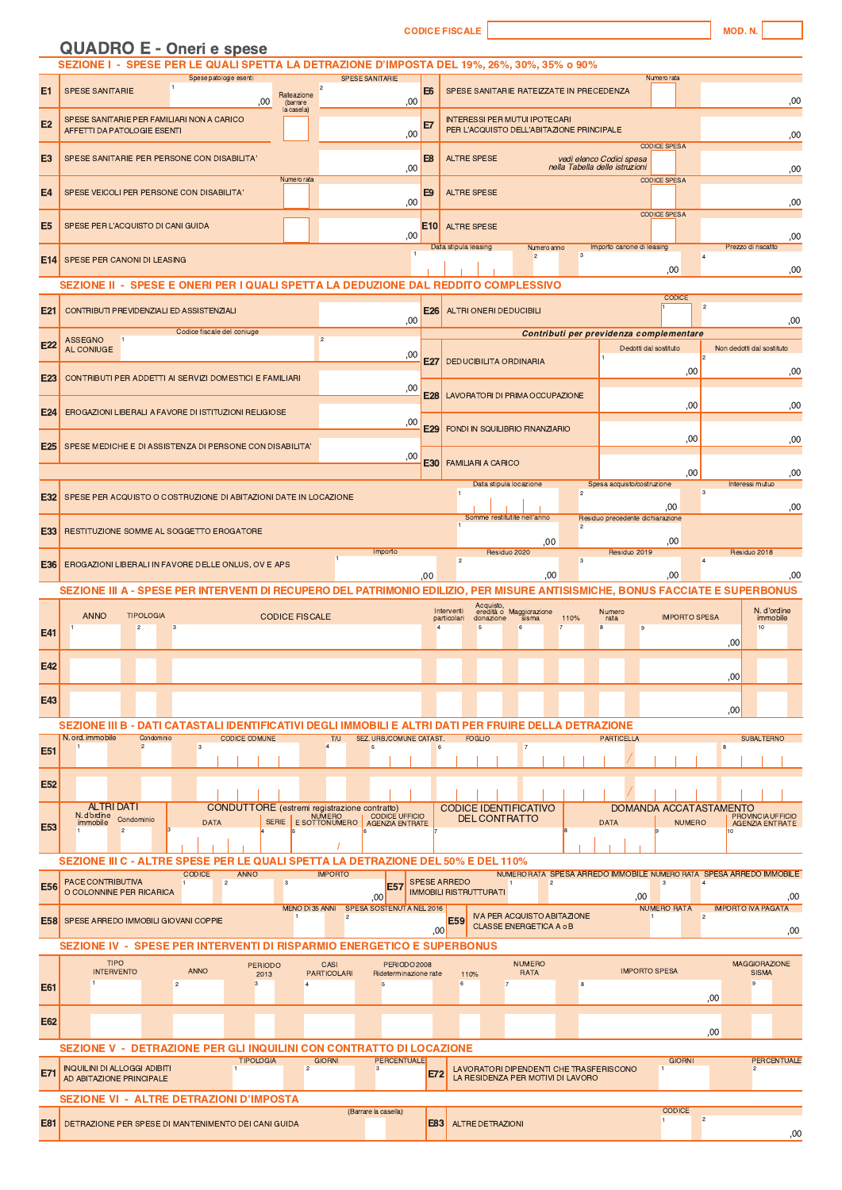**CODICE FISCALE** 

| <b>QUADRO E - Oneri e spese</b> |  |  |
|---------------------------------|--|--|

|                 | SEZIONE I - SPESE PER LE QUALI SPETTA LA DETRAZIONE D'IMPOSTA DEL 19%, 26%, 30%, 35% o 90%                                                                                                                                            |                                                                                                                                                                                                                              |  |  |  |  |  |
|-----------------|---------------------------------------------------------------------------------------------------------------------------------------------------------------------------------------------------------------------------------------|------------------------------------------------------------------------------------------------------------------------------------------------------------------------------------------------------------------------------|--|--|--|--|--|
| E1              | Spese patologie esenti<br><b>SPESE SANITARIE</b><br><b>SPESE SANITARIE</b><br>E <sub>6</sub><br>Rateazione<br>00.<br>,00<br>(barrare                                                                                                  | Numero rata<br>SPESE SANITARIE RATEIZZATE IN PRECEDENZA<br>,00                                                                                                                                                               |  |  |  |  |  |
| E <sub>2</sub>  | la casella)<br>SPESE SANITARIE PER FAMILIARI NON A CARICO<br>E7<br>AFFETTI DA PATOLOGIE ESENTI<br>,00                                                                                                                                 | <b>INTERESSI PER MUTUI IPOTECARI</b><br>PER L'ACQUISTO DELL'ABITAZIONE PRINCIPALE<br>,00                                                                                                                                     |  |  |  |  |  |
| E <sub>3</sub>  | E <sub>8</sub><br>SPESE SANITARIE PER PERSONE CON DISABILITA<br>,00                                                                                                                                                                   | <b>CODICE SPESA</b><br><b>ALTRE SPESE</b><br>vedi elenco Codici spesa<br>nella Tabella delle istruzioni<br>,00                                                                                                               |  |  |  |  |  |
| E <sub>4</sub>  | Numero rata<br>E <sub>9</sub><br>SPESE VEICOLI PER PERSONE CON DISABILITA'<br>,00                                                                                                                                                     | <b>CODICE SPESA</b><br><b>ALTRE SPESE</b><br>,00                                                                                                                                                                             |  |  |  |  |  |
| E <sub>5</sub>  | <b>E10</b><br>SPESE PER L'ACQUISTO DI CANI GUIDA<br>,00                                                                                                                                                                               | <b>CODICE SPESA</b><br><b>ALTRE SPESE</b><br>,00                                                                                                                                                                             |  |  |  |  |  |
| E14             | $\overline{1}$<br>SPESE PER CANONI DI LEASING                                                                                                                                                                                         | Data stipula leasing<br>Importo canone di leasing<br>Numero anno<br>Prezzo di riscatto<br>$\overline{2}$<br>3<br>$\overline{4}$<br>,00<br>,00                                                                                |  |  |  |  |  |
|                 | SEZIONE II - SPESE E ONERI PER I QUALI SPETTA LA DEDUZIONE DAL REDDITO COMPLESSIVO                                                                                                                                                    |                                                                                                                                                                                                                              |  |  |  |  |  |
| E21             | <b>E26</b><br>CONTRIBUTI PREVIDENZIALI ED ASSISTENZIALI<br>.00                                                                                                                                                                        | <b>CODICE</b><br>$\bar{2}$<br><b>ALTRI ONERI DEDUCIBILI</b><br>,00                                                                                                                                                           |  |  |  |  |  |
| E22             | Codice fiscale del coniuge<br><b>ASSEGNO</b><br>$\overline{2}$<br>AL CONIUGE<br>,00                                                                                                                                                   | Contributi per previdenza complementare<br>Dedotti dal sostituto<br>Non dedotti dal sostituto                                                                                                                                |  |  |  |  |  |
| E <sub>23</sub> | E27<br>CONTRIBUTI PER ADDETTI AI SERVIZI DOMESTICI E FAMILIARI<br>,00                                                                                                                                                                 | <b>DEDUCIBILITA ORDINARIA</b><br>,00<br>,00                                                                                                                                                                                  |  |  |  |  |  |
| E <sub>24</sub> | <b>E28</b><br>EROGAZIONI LIBERALI A FAVORE DI ISTITUZIONI RELIGIOSE                                                                                                                                                                   | LAVORATORI DI PRIMA OCCUPAZIONE<br>,00<br>,00                                                                                                                                                                                |  |  |  |  |  |
| E <sub>25</sub> | ,00<br>E29<br>SPESE MEDICHE E DI ASSISTENZA DI PERSONE CON DISABILITA'                                                                                                                                                                | <b>FONDI IN SQUILIBRIO FINANZIARIO</b><br>,00<br>,00                                                                                                                                                                         |  |  |  |  |  |
|                 | ,00<br>E30                                                                                                                                                                                                                            | <b>FAMILIARI A CARICO</b><br>,00<br>,00<br>Data stipula locazione<br>Spesa acquisto/costruzione<br>Interessi mutuo                                                                                                           |  |  |  |  |  |
| E32             | SPESE PER ACQUISTO O COSTRUZIONE DI ABITAZIONI DATE IN LOCAZIONE                                                                                                                                                                      | 3<br>$\overline{c}$<br>00.<br>,00<br>Somme restitutite nell'anno<br>Residuo precedente dichiarazione                                                                                                                         |  |  |  |  |  |
| E33             | RESTITUZIONE SOMME AL SOGGETTO EROGATORE<br>,00<br>,00                                                                                                                                                                                |                                                                                                                                                                                                                              |  |  |  |  |  |
| E36             | Importo<br>EROGAZIONI LIBERALI IN FAVORE DELLE ONLUS, OV E APS<br>.00                                                                                                                                                                 | Residuo 2020<br>Residuo 2019<br>Residuo 2018<br>$\overline{c}$<br>3<br>,00<br>00,<br>,00                                                                                                                                     |  |  |  |  |  |
|                 | SEZIONE III A - SPESE PER INTERVENTI DI RECUPERO DEL PATRIMONIO EDILIZIO, PER MISURE ANTISISMICHE, BONUS FACCIATE E SUPERBONUS                                                                                                        |                                                                                                                                                                                                                              |  |  |  |  |  |
| E41             | <b>ANNO</b><br><b>TIPOLOGIA</b><br><b>CODICE FISCALE</b><br>$\overline{2}$<br>3                                                                                                                                                       | Acquisto,<br>eredità o Maggiorazione<br>N. d'ordine<br>Interventi<br>Numero<br><b>IMPORTO SPESA</b><br>110%<br>immobile<br>particolari<br>donazione<br>sisma<br>rata<br>$\overline{\mathbf{8}}$<br>10<br>$\overline{7}$<br>9 |  |  |  |  |  |
| E42             |                                                                                                                                                                                                                                       | ,00                                                                                                                                                                                                                          |  |  |  |  |  |
| E43             |                                                                                                                                                                                                                                       | ,00                                                                                                                                                                                                                          |  |  |  |  |  |
|                 | SEZIONE III B - DATI CATASTALI IDENTIFICATIVI DEGLI IMMOBILI E ALTRI DATI PER FRUIRE DELLA DETRAZIONE                                                                                                                                 | ,00                                                                                                                                                                                                                          |  |  |  |  |  |
| <b>E51</b>      | N. ord. immobile<br>Condominio<br>SEZ. URB./COMUNE CATAST.<br><b>CODICE COMUNE</b><br>T/U<br>$\overline{2}$<br>3<br>$\Lambda$<br>5                                                                                                    | <b>FOGLIO</b><br><b>PARTICELLA</b><br><b>SUBALTERNO</b><br>$\overline{7}$<br>8<br>6                                                                                                                                          |  |  |  |  |  |
| E <sub>52</sub> |                                                                                                                                                                                                                                       |                                                                                                                                                                                                                              |  |  |  |  |  |
|                 | <b>ALTRI DATI</b><br><b>CONDUTTORE</b> (estremi registrazione contratto)<br>N. d'ordine<br><b>CODICE UFFICIO</b><br><b>NUMERO</b><br>Condominio<br><b>SERIE</b><br>immobile<br><b>DATA</b><br>E SOTTONUMERO<br><b>AGENZIA ENTRATE</b> | DOMANDA ACCATASTAMENTO<br><b>CODICE IDENTIFICATIVO</b><br>PROVINCIA UFFICIO<br><b>DEL CONTRATTO</b><br><b>DATA</b><br><b>NUMERO</b><br><b>AGENZIA ENTRATE</b>                                                                |  |  |  |  |  |
| E53             | $\overline{2}$                                                                                                                                                                                                                        | 10                                                                                                                                                                                                                           |  |  |  |  |  |
|                 | SEZIONE III C - ALTRE SPESE PER LE QUALI SPETTA LA DETRAZIONE DEL 50% E DEL 110%<br><b>CODICE</b><br><b>ANNO</b><br><b>IMPORTO</b>                                                                                                    | NUMERO RATA SPESA ARREDO IMMOBILE NUMERO RATA SPESA ARREDO IMMOBILE                                                                                                                                                          |  |  |  |  |  |
| <b>E56</b>      | PACE CONTRIBUTIVA<br>$\overline{c}$<br>3<br><b>E57</b><br>O COLONNINE PER RICARICA<br>.00 <sub>l</sub>                                                                                                                                | <b>SPESE ARREDO</b><br>$\overline{1}$<br>$\overline{c}$<br>3<br>$\overline{4}$<br><b>IMMOBILI RISTRUTTURATI</b><br>.00<br>,00                                                                                                |  |  |  |  |  |
|                 | MENO DI 35 ANNI<br>SPESA SOSTENUTA NEL 2016<br>$\vert$ 1<br>$\overline{c}$<br><b>E58</b> SPESE ARREDO IMMOBILI GIOVANI COPPIE                                                                                                         | <b>NUMERO RATA</b><br><b>IMPORTO IVA PAGATA</b><br><b>IVA PER ACQUISTO ABITAZIONE</b><br>$\overline{2}$<br>$\vert$ 1<br><b>E59</b><br>CLASSE ENERGETICA A o B<br>.00 <sub>1</sub><br>,00                                     |  |  |  |  |  |
|                 | SEZIONE IV - SPESE PER INTERVENTI DI RISPARMIO ENERGETICO E SUPERBONUS                                                                                                                                                                |                                                                                                                                                                                                                              |  |  |  |  |  |
| E61             | <b>TIPO</b><br><b>PERIODO</b><br>CASI<br>PERIODO 2008<br><b>ANNO</b><br><b>INTERVENTO</b><br><b>PARTICOLARI</b><br>Rideterminazione rate<br>2013<br>$\overline{c}$<br>3<br>$\overline{4}$<br>5                                        | <b>NUMERO</b><br><b>MAGGIORAZIONE</b><br><b>IMPORTO SPESA</b><br><b>SISMA</b><br>RATA<br>110%<br>6<br>$^{\rm 8}$<br>$\mathbf{Q}$<br>$\overline{7}$                                                                           |  |  |  |  |  |
| E62             |                                                                                                                                                                                                                                       | ,00                                                                                                                                                                                                                          |  |  |  |  |  |
|                 | SEZIONE V - DETRAZIONE PER GLI INQUILINI CON CONTRATTO DI LOCAZIONE                                                                                                                                                                   | ,00                                                                                                                                                                                                                          |  |  |  |  |  |
| <b>E71</b>      | <b>GIORNI</b><br><b>PERCENTUALE</b><br><b>TIPOLOGIA</b><br><b>INQUILINI DI ALLOGGI ADIBITI</b><br>$\overline{2}$<br>3<br>AD ABITAZIONE PRINCIPALE                                                                                     | <b>PERCENTUALE</b><br><b>GIORNI</b><br>LAVORATORI DIPENDENTI CHE TRASFERISCONO<br>$\overline{c}$<br><b>E72</b><br>LA RESIDENZA PER MOTIVI DI LAVORO                                                                          |  |  |  |  |  |
|                 | SEZIONE VI - ALTRE DETRAZIONI D'IMPOSTA                                                                                                                                                                                               |                                                                                                                                                                                                                              |  |  |  |  |  |
| E81             | (Barrare la casella)<br>DETRAZIONE PER SPESE DI MANTENIMENTO DEI CANI GUIDA                                                                                                                                                           | <b>CODICE</b><br>$\overline{a}$<br><b>E83</b><br><b>ALTRE DETRAZIONI</b>                                                                                                                                                     |  |  |  |  |  |
|                 |                                                                                                                                                                                                                                       | ,00                                                                                                                                                                                                                          |  |  |  |  |  |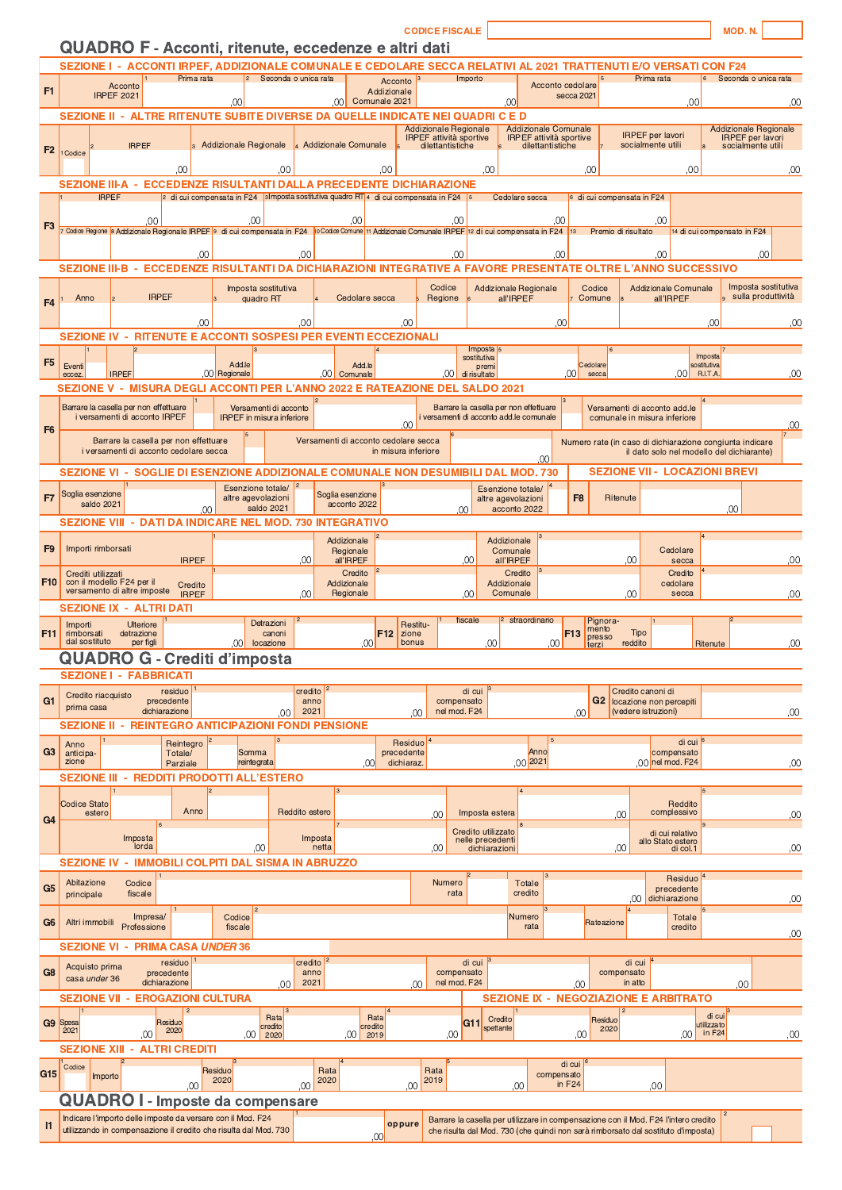|                 |                                                                                                                                                                                                            |                                                                                                                                                                       |                                      |                                | <b>CODICE FISCALE</b>                                          |                                                               |                                                |                                                                                                       | <b>MOD.N</b>                                            |
|-----------------|------------------------------------------------------------------------------------------------------------------------------------------------------------------------------------------------------------|-----------------------------------------------------------------------------------------------------------------------------------------------------------------------|--------------------------------------|--------------------------------|----------------------------------------------------------------|---------------------------------------------------------------|------------------------------------------------|-------------------------------------------------------------------------------------------------------|---------------------------------------------------------|
|                 | <b>QUADRO F - Acconti, ritenute, eccedenze e altri dati</b><br>SEZIONE I - ACCONTI IRPEF, ADDIZIONALE COMUNALE E CEDOLARE SECCA RELATIVI AL 2021 TRATTENUTI E/O VERSATI CON F24                            |                                                                                                                                                                       |                                      |                                |                                                                |                                                               |                                                |                                                                                                       |                                                         |
| F1              | Prima rata<br>Acconto                                                                                                                                                                                      | $\vert$ 2                                                                                                                                                             | Seconda o unica rata                 | Acconto<br>Addizionale         | Importo                                                        |                                                               | Acconto cedolare                               | Prima rata<br>6                                                                                       | Seconda o unica rata                                    |
|                 | <b>IRPEF 2021</b>                                                                                                                                                                                          | .00                                                                                                                                                                   | .00 <sub>l</sub>                     | Comunale 2021                  |                                                                | 00 <sup>1</sup>                                               | secca 2021                                     | .00                                                                                                   | .00                                                     |
|                 | <b>SEZIONE II</b><br>$\sim$                                                                                                                                                                                | ALTRE RITENUTE SUBITE DIVERSE DA QUELLE INDICATE NEI QUADRI C E D                                                                                                     |                                      |                                | <b>Addizionale Regionale</b><br><b>IRPEF</b> attività sportive | <b>Addizionale Comunale</b><br><b>IRPEF</b> attività sportive |                                                | <b>IRPEF</b> per lavori                                                                               | <b>Addizionale Regionale</b><br><b>IRPEF</b> per lavori |
| F <sub>2</sub>  | <b>IRPEF</b><br>Codice                                                                                                                                                                                     | 3 Addizionale Regionale                                                                                                                                               | 4 Addizionale Comunale               |                                | dilettantistiche                                               | dilettantistiche                                              |                                                | socialmente utili                                                                                     | socialmente utili                                       |
|                 | .00                                                                                                                                                                                                        | .00                                                                                                                                                                   |                                      | 00                             |                                                                | 00                                                            | .00                                            | .00                                                                                                   | .00                                                     |
|                 | <b>SEZIONE III-A</b><br>$\sim$<br><b>IRPEF</b>                                                                                                                                                             | <b>ECCEDENZE RISULTANTI DALLA PRECEDENTE DICHIARAZIONE</b><br>2 di cui compensata in F24 $\vert$ 3 Imposta sostitutiva quadro RT 4 di cui compensata in F24 $\vert$ 5 |                                      |                                |                                                                | Cedolare secca                                                | 6 di cui compensata in F24                     |                                                                                                       |                                                         |
| F3              |                                                                                                                                                                                                            | ,00                                                                                                                                                                   | ,00                                  |                                | .00                                                            |                                                               | ,00                                            | .00                                                                                                   |                                                         |
|                 | <sup>r</sup> Codice Regione <sup>i</sup> s Addizionale Regionale IRPEF <sup>i</sup> s di cui compensata in F24 pi <sup>no</sup> Codice Comune 11 Addizionale Comunale IRPEF 12 di cui compensata in F24 13 |                                                                                                                                                                       |                                      |                                |                                                                |                                                               | Premio di risultato                            |                                                                                                       | 14 di cui compensato in F24                             |
|                 | <b>SEZIONE III-B</b><br>$\sim$                                                                                                                                                                             | .00<br>ECCEDENZE RISULTANTI DA DICHIARAZIONI INTEGRATIVE A FAVORE PRESENTATE OLTRE L'ANNO SUCCESSIVO                                                                  | ,00                                  |                                | .00                                                            |                                                               | .00                                            | .00                                                                                                   | .00                                                     |
|                 |                                                                                                                                                                                                            | Imposta sostitutiva                                                                                                                                                   |                                      |                                | Codice                                                         | <b>Addizionale Regionale</b>                                  | Codice                                         | <b>Addizionale Comunale</b>                                                                           | Imposta sostitutiva                                     |
| F <sub>4</sub>  | <b>IRPEF</b><br>Anno                                                                                                                                                                                       | quadro RT                                                                                                                                                             |                                      | Cedolare secca                 | Regione                                                        | all'IRPEF                                                     | Comune                                         | all'IRPEF                                                                                             | sulla produttività                                      |
|                 | <b>SEZIONE IV</b>                                                                                                                                                                                          | .00<br><b>RITENUTE E ACCONTI SOSPESI PER EVENTI ECCEZIONALI</b>                                                                                                       | 00                                   | 00                             |                                                                |                                                               | .00                                            |                                                                                                       | .00<br>.00                                              |
| F <sub>5</sub>  |                                                                                                                                                                                                            |                                                                                                                                                                       |                                      |                                | Imposta <sub>s</sub><br>sostitutiva                            |                                                               |                                                | Imposta                                                                                               |                                                         |
|                 | Eventi<br><b>IRPEF</b><br>eccez                                                                                                                                                                            | Add.le<br>,00 Regionale                                                                                                                                               | Add.le<br>.001<br>Comunale           |                                | premi<br>.001<br>di risultato                                  |                                                               | Cedolare<br>.001<br>secca                      | sostitutiva<br>.001<br>R.I.T.A.                                                                       | ,00                                                     |
|                 | SEZIONE V - MISURA DEGLI ACCONTI PER L'ANNO 2022 E RATEAZIONE DEL SALDO 2021<br>Barrare la casella per non effettuare                                                                                      | Versamenti di acconto                                                                                                                                                 |                                      |                                |                                                                | Barrare la casella per non effettuare                         |                                                | Versamenti di acconto add.le                                                                          |                                                         |
| F <sub>6</sub>  | i versamenti di acconto IRPEF                                                                                                                                                                              | <b>IRPEF</b> in misura inferiore                                                                                                                                      |                                      | 00                             |                                                                | i versamenti di acconto add.le comunale                       |                                                | comunale in misura inferiore                                                                          | ,00                                                     |
|                 | Barrare la casella per non effettuare<br>i versamenti di acconto cedolare secca                                                                                                                            |                                                                                                                                                                       | Versamenti di acconto cedolare secca | in misura inferiore            |                                                                |                                                               |                                                | Numero rate (in caso di dichiarazione congiunta indicare<br>il dato solo nel modello del dichiarante) |                                                         |
|                 | <b>SEZIONE VI -</b>                                                                                                                                                                                        | <b>SOGLIE DI ESENZIONE ADDIZIONALE COMUNALE</b>                                                                                                                       |                                      |                                |                                                                | .00<br><b>NON DESUMIBILI DAL MOD. 730</b>                     |                                                | <b>SEZIONE VII - LOCAZIONI BREVI</b>                                                                  |                                                         |
| F7              | Soglia esenzione                                                                                                                                                                                           | Esenzione totale/<br>altre agevolazioni                                                                                                                               | Soglia esenzione                     |                                |                                                                | Esenzione totale/<br>altre agevolazioni                       | F <sub>8</sub><br><b>Ritenute</b>              |                                                                                                       |                                                         |
|                 | saldo 2021<br>SEZIONE VIII - DATI DA INDICARE NEL MOD. 730 INTEGRATIVO                                                                                                                                     | saldo 2021<br>.OO                                                                                                                                                     | acconto 2022                         |                                | 00                                                             | acconto 2022                                                  |                                                |                                                                                                       | .00                                                     |
|                 |                                                                                                                                                                                                            |                                                                                                                                                                       | Addizionale                          |                                |                                                                | Addizionale                                                   |                                                |                                                                                                       |                                                         |
| F <sub>9</sub>  | Importi rimborsati<br><b>IRPEF</b>                                                                                                                                                                         |                                                                                                                                                                       | Regionale<br>,00<br>all'IRPEF        |                                | 00                                                             | Comunale<br>all'IRPEF                                         |                                                | Cedolare<br>.00<br>secca                                                                              | ,00                                                     |
| F <sub>10</sub> | Crediti utilizzati<br>con il modello F24 per il<br>Credito<br>versamento di altre imposte                                                                                                                  |                                                                                                                                                                       | Credito<br>Addizionale               |                                |                                                                | Credito<br>Addizionale                                        |                                                | Credito<br>cedolare                                                                                   |                                                         |
|                 | <b>IRPEF</b><br><b>SEZIONE IX - ALTRI DATI</b>                                                                                                                                                             |                                                                                                                                                                       | .00<br>Regionale                     |                                | 00                                                             | Comunale                                                      |                                                | .00<br>secca                                                                                          | .00                                                     |
| F11             | Importi<br><b>Ulteriore</b><br>rimborsati<br>detrazione                                                                                                                                                    | Detrazioni<br>canoni                                                                                                                                                  |                                      | Restitu-<br>F12<br>zione       | fiscale                                                        | 2 straordinario                                               | Pignora-<br>mento<br>F <sub>13</sub><br>presso | <b>Tipo</b>                                                                                           |                                                         |
|                 | dal sostituto<br>per figli<br><b>QUADRO G - Crediti d'imposta</b>                                                                                                                                          | ,00<br>locazione                                                                                                                                                      |                                      | bonus<br>.00 <sub>l</sub>      |                                                                | .00<br>.00                                                    | terzi                                          | reddito<br>Ritenute                                                                                   | ,00                                                     |
|                 | <b>SEZIONE I - FABBRICATI</b>                                                                                                                                                                              |                                                                                                                                                                       |                                      |                                |                                                                |                                                               |                                                |                                                                                                       |                                                         |
| G <sub>1</sub>  | residuo<br>Credito riacquisto<br>precedente<br>prima casa                                                                                                                                                  |                                                                                                                                                                       | credito<br>anno                      |                                | di cui<br>compensato                                           |                                                               |                                                | Credito canoni di<br>G2 locazione non percepiti                                                       |                                                         |
|                 | dichiarazione<br><b>SEZIONE II - REINTEGRO ANTICIPAZIONI FONDI PENSIONE</b>                                                                                                                                | .00                                                                                                                                                                   | 2021                                 | $00 \,$                        | nel mod. F24                                                   |                                                               | .00                                            | (vedere istruzioni)                                                                                   | ,00                                                     |
| G <sub>3</sub>  | Reintegro<br>Anno<br>anticipa-<br>Totale/                                                                                                                                                                  | Somma                                                                                                                                                                 |                                      | Residuo<br>precedente          |                                                                | Anno                                                          |                                                | di cui<br>compensato                                                                                  |                                                         |
|                 | zione<br>Parziale<br><b>SEZIONE III - REDDITI PRODOTTI ALL'ESTERO</b>                                                                                                                                      | reintegrata                                                                                                                                                           |                                      | dichiaraz.<br>.00 <sub>1</sub> |                                                                | 00 2021                                                       |                                                | 00 nel mod. F24                                                                                       | ,00                                                     |
|                 |                                                                                                                                                                                                            |                                                                                                                                                                       |                                      |                                |                                                                | $\overline{4}$                                                |                                                |                                                                                                       |                                                         |
| G <sub>4</sub>  | <b>Codice Stato</b><br>Anno<br>estero                                                                                                                                                                      |                                                                                                                                                                       | Reddito estero                       |                                | Imposta estera<br>00                                           |                                                               | ,00                                            | Reddito<br>complessivo                                                                                | ,00                                                     |
|                 | Imposta<br>lorda                                                                                                                                                                                           | .00                                                                                                                                                                   | Imposta<br>netta                     |                                | Credito utilizzato<br>nelle precedenti<br>00                   | dichiarazioni                                                 | .00 <sub>1</sub>                               | di cui relativo<br>allo Stato estero<br>di col.1                                                      | ,00                                                     |
|                 | SEZIONE IV - IMMOBILI COLPITI DAL SISMA IN ABRUZZO                                                                                                                                                         |                                                                                                                                                                       |                                      |                                |                                                                |                                                               |                                                |                                                                                                       |                                                         |
| G <sub>5</sub>  | Abitazione<br>Codice<br>principale<br>fiscale                                                                                                                                                              |                                                                                                                                                                       |                                      |                                | Numero<br>rata                                                 | Totale<br>credito                                             |                                                | Residuo<br>precedente                                                                                 |                                                         |
|                 | Impresa/                                                                                                                                                                                                   | Codice                                                                                                                                                                |                                      |                                |                                                                | Numero                                                        |                                                | 00 dichiarazione<br><b>Totale</b>                                                                     | ,00                                                     |
| G <sub>6</sub>  | Altri immobili<br>Professione                                                                                                                                                                              | fiscale                                                                                                                                                               |                                      |                                |                                                                | rata                                                          | Rateazione                                     | credito                                                                                               | ,00                                                     |
|                 | <b>PRIMA CASA UNDER 36</b><br><b>SEZIONE VI</b><br>$\sim$<br>residuo                                                                                                                                       |                                                                                                                                                                       | credito                              |                                | di cui                                                         |                                                               |                                                | di cui                                                                                                |                                                         |
| G <sub>8</sub>  | Acquisto prima<br>precedente<br>casa under 36<br>dichiarazione                                                                                                                                             | .00                                                                                                                                                                   | anno<br>2021                         | .00                            | compensato<br>nel mod. F24                                     |                                                               | compensato<br>.00                              | in atto                                                                                               | 00                                                      |
|                 | <b>EROGAZIONI CULTURA</b><br><b>SEZIONE VII -</b>                                                                                                                                                          |                                                                                                                                                                       |                                      |                                |                                                                |                                                               |                                                | <b>SEZIONE IX - NEGOZIAZIONE E ARBITRATO</b>                                                          |                                                         |
|                 | G9 Spesa<br>Residuo<br>2020<br>2021                                                                                                                                                                        | Rata<br>credito                                                                                                                                                       |                                      | Rata<br>credito                | G11                                                            | Credito<br>spettante                                          | Residuo<br>2020                                |                                                                                                       | di cui<br>utilizzato                                    |
|                 | ,00<br><b>SEZIONE XIII -</b><br><b>ALTRI CREDITI</b>                                                                                                                                                       | $,00$ 2020                                                                                                                                                            |                                      | $,00$ 2019                     | .00                                                            |                                                               | .00                                            | .00                                                                                                   | in $F24$<br>,00                                         |
| G15             | Codice<br>Importo                                                                                                                                                                                          | Residuo                                                                                                                                                               | Rata                                 |                                | Rata                                                           |                                                               | di cui<br>compensato                           |                                                                                                       |                                                         |
|                 | .00<br><b>QUADRO I - Imposte da compensare</b>                                                                                                                                                             | 2020                                                                                                                                                                  | 2020<br>.00                          | .00                            | 2019                                                           | .00                                                           | in F <sub>24</sub>                             | .00                                                                                                   |                                                         |
| $\mathsf{I}$    | Indicare l'importo delle imposte da versare con il Mod. F24                                                                                                                                                |                                                                                                                                                                       |                                      | oppure                         |                                                                |                                                               |                                                | Barrare la casella per utilizzare in compensazione con il Mod. F24 l'intero credito                   |                                                         |
|                 | utilizzando in compensazione il credito che risulta dal Mod. 730                                                                                                                                           |                                                                                                                                                                       |                                      | .00 <sub>1</sub>               |                                                                |                                                               |                                                | che risulta dal Mod. 730 (che quindi non sarà rimborsato dal sostituto d'imposta)                     |                                                         |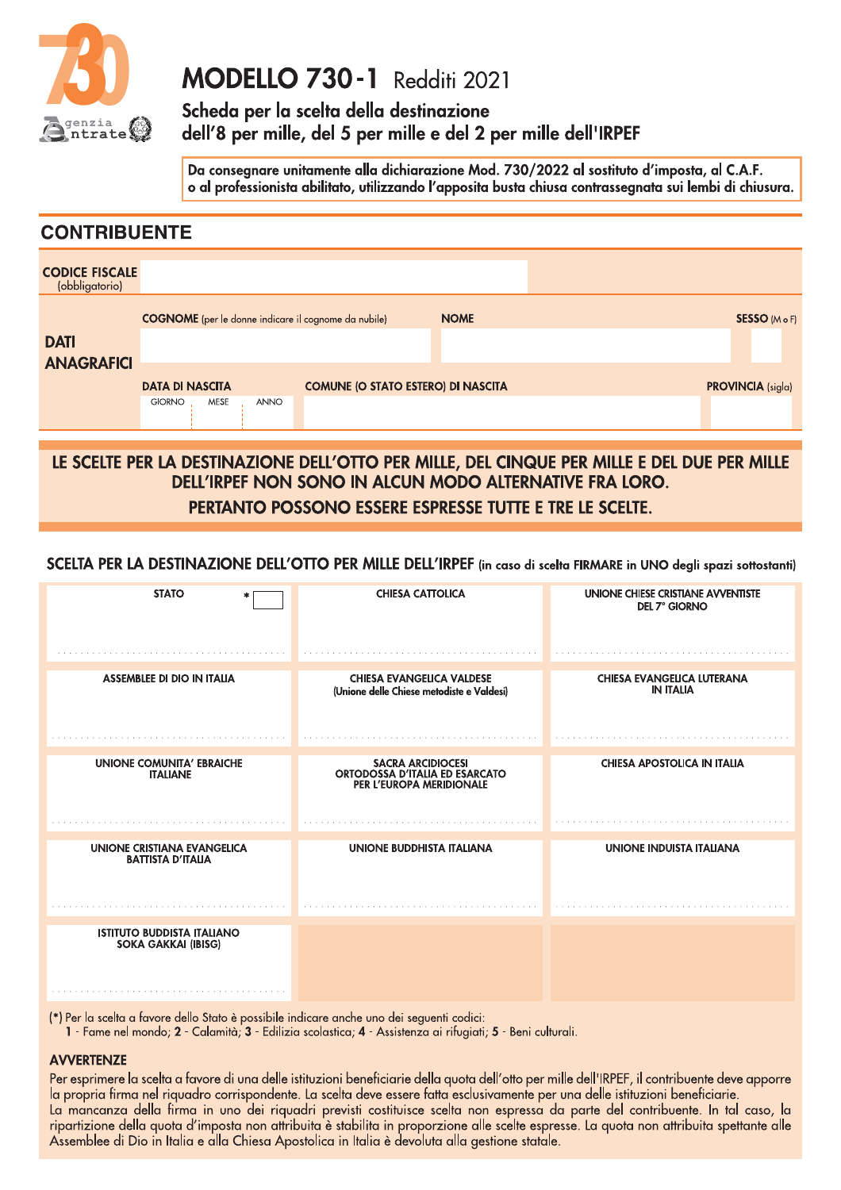

## **MODELLO 730-1** Redditi 2021

Scheda per la scelta della destinazione dell 8 per mille, del 5 per mille e del 2 per mille dell'IKPEF

Da consegnare unitamente alla dichiarazione Mod. 730/2022 al sostituto d'imposta, al C.A.F. MUDELLU / 30 - I Redditi 202 |<br>Scheda per la scelta della destinazione<br>dell'8 per mille, del 5 per mille e del 2 per mille dell'IRPEF<br>Da consegnare unitamente alla dichiarazione Mod. 730/2022 al sostituto d'imposta, al C.A

|                                         |                                                             |                                           |             | Da consegnare unitamente alla dichiarazione Mod. 730/2022 al sostituto d'imposta, al C.A.F.<br>o al professionista abilitato, utilizzando l'apposita busta chiusa contrassegnata sui lembi di chiusura. |  |
|-----------------------------------------|-------------------------------------------------------------|-------------------------------------------|-------------|---------------------------------------------------------------------------------------------------------------------------------------------------------------------------------------------------------|--|
| <b>CONTRIBUENTE</b>                     |                                                             |                                           |             |                                                                                                                                                                                                         |  |
| <b>CODICE FISCALE</b><br>(obbligatorio) |                                                             |                                           |             |                                                                                                                                                                                                         |  |
|                                         | <b>COGNOME</b> (per le donne indicare il cognome da nubile) |                                           | <b>NOME</b> | <b>SESSO</b> (M o F)                                                                                                                                                                                    |  |
| <b>DATI</b><br><b>ANAGRAFICI</b>        |                                                             |                                           |             |                                                                                                                                                                                                         |  |
|                                         | <b>DATA DI NASCITA</b>                                      | <b>COMUNE (O STATO ESTERO) DI NASCITA</b> |             | <b>PROVINCIA</b> (sigla)                                                                                                                                                                                |  |
|                                         | <b>GIORNO</b><br><b>MESE</b><br><b>ANNO</b>                 |                                           |             |                                                                                                                                                                                                         |  |

LE SCELIE PER LA DESTINAZIONE DELL'OTTO PER MILLE, DEL CINQUE PER MILLE E DEL DUE PER MILLE<br>DEL SOLITE PER LA DESTINAZIONE DELL'OTTO PER MILLE, DEL CINQUE PER MILLE E DEL DUE PER MILLE DELL'IRPEF NON SONO IN ALCUN MODO ALI ERNATIVE FRA LORO. PERIANIO POSSONO ESSERE ESPRESSE IUIIE E IKE LE SCELIE.

SCELIA PER LA DESTINAZIONE DELL'OTTO PER MILLE DELL'IRPEF (in caso di scelta FIRMARE in UNO degli spazi sottostanti)

| <b>STATO</b>                                                    | <b>CHIESA CATTOLICA</b>                                                                                                                                                                                   | UNIONE CHIESE CRISTIANE AVVENTISTE<br><b>DEL 7° GIORNO</b> |
|-----------------------------------------------------------------|-----------------------------------------------------------------------------------------------------------------------------------------------------------------------------------------------------------|------------------------------------------------------------|
|                                                                 |                                                                                                                                                                                                           |                                                            |
| <b>ASSEMBLEE DI DIO IN ITALIA</b>                               | <b>CHIESA EVANGELICA VALDESE</b><br>(Unione delle Chiese metodiste e Valdesi)                                                                                                                             | <b>CHIESA EVANGELICA LUTERANA</b><br><b>IN ITALIA</b>      |
|                                                                 |                                                                                                                                                                                                           |                                                            |
| <b>UNIONE COMUNITA' EBRAICHE</b><br><b>ITALIANE</b>             | <b>SACRA ARCIDIOCESI</b><br>ORTODOSSA D'ITALIA ED ESARCATO<br>PER L'EUROPA MERIDIONALE                                                                                                                    | <b>CHIESA APOSTOLICA IN ITALIA</b>                         |
|                                                                 |                                                                                                                                                                                                           |                                                            |
| <b>UNIONE CRISTIANA EVANGELICA</b><br><b>BATTISTA D'ITALIA</b>  | <b>UNIONE BUDDHISTA ITALIANA</b>                                                                                                                                                                          | <b>UNIONE INDUISTA ITALIANA</b>                            |
|                                                                 |                                                                                                                                                                                                           |                                                            |
| <b>ISTITUTO BUDDISTA ITALIANO</b><br><b>SOKA GAKKAI (IBISG)</b> |                                                                                                                                                                                                           |                                                            |
|                                                                 |                                                                                                                                                                                                           |                                                            |
|                                                                 | (*) Per la scelta a favore dello Stato è possibile indicare anche uno dei seguenti codici:<br>1 - Fame nel mondo; 2 - Calamità; 3 - Edilizia scolastica; 4 - Assistenza ai rifugiati; 5 - Beni culturali. |                                                            |
| <b>AVVERTENTE</b>                                               |                                                                                                                                                                                                           |                                                            |

### AVVEKIENZE

Per esprimere la scelta a favore di una delle istituzioni beneficiarie della quota dell'offo per mille dell'IKPEF, il confribuente deve apporre la propria firma nel riquadro corrispondente. La scelta deve essere fatta esclusivamente per una delle istituzioni beneficiarie. La mancanza della firma in uno dei riquadri previsti costituisce scelta non espressa da parte del contribuente. In tai caso, la riparfizione della quord d'imposta non affribuita e stabilita in proporzione dile scelte espresse. La quota non affribuita spettante dile Assemblee di Dio in Italia e alla Chiesa Apostolica in Italia è devoluta alla gestione statale.